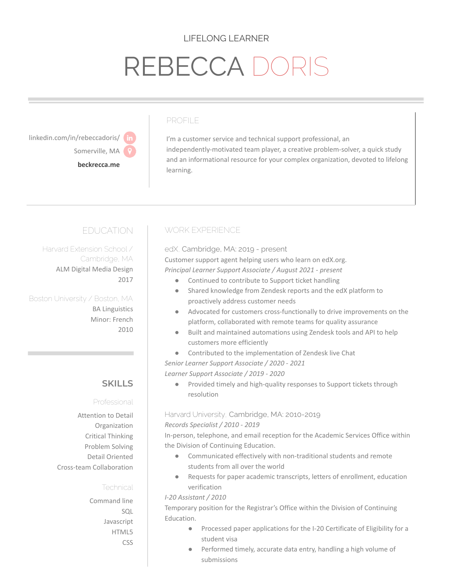## LIFELONG LEARNER

# REBECCA DOF

linkedin.com/in/rebeccadoris/ Somerville, MA

**[beckrecca.me](https://www.beckrecca.me)**

#### PROFILE

I'm a customer service and technical support professional, an independently-motivated team player, a creative problem-solver, a quick study and an informational resource for your complex organization, devoted to lifelong learning.

# EDUCATION

Harvard Extension School / Cambridge, MA ALM Digital Media Design 2017

Boston University / Boston, MA BA Linguistics Minor: French 2010

## **SKILLS**

#### Professional

Attention to Detail Organization Critical Thinking Problem Solving Detail Oriented Cross-team Collaboration

#### **Technical**

Command line  $SOI$ Javascript HTML5 CSS

## WORK EXPERIENCE

edX, Cambridge, MA: 2019 - present Customer support agent helping users who learn on edX.org. *Principal Learner Support Associate / August 2021 - present*

- Continued to contribute to Support ticket handling
- Shared knowledge from Zendesk reports and the edX platform to proactively address customer needs
- Advocated for customers cross-functionally to drive improvements on the platform, collaborated with remote teams for quality assurance
- Built and maintained automations using Zendesk tools and API to help customers more efficiently
- Contributed to the implementation of Zendesk live Chat
- *Senior Learner Support Associate / 2020 - 2021*

*Learner Support Associate / 2019 - 2020*

● Provided timely and high-quality responses to Support tickets through resolution

## Harvard University, Cambridge, MA: 2010-2019

*Records Specialist / 2010 - 2019*

In-person, telephone, and email reception for the Academic Services Office within the Division of Continuing Education.

- Communicated effectively with non-traditional students and remote students from all over the world
- Requests for paper academic transcripts, letters of enrollment, education verification

#### *I-20 Assistant / 2010*

Temporary position for the Registrar's Office within the Division of Continuing Education.

- Processed paper applications for the I-20 Certificate of Eligibility for a student visa
- Performed timely, accurate data entry, handling a high volume of submissions